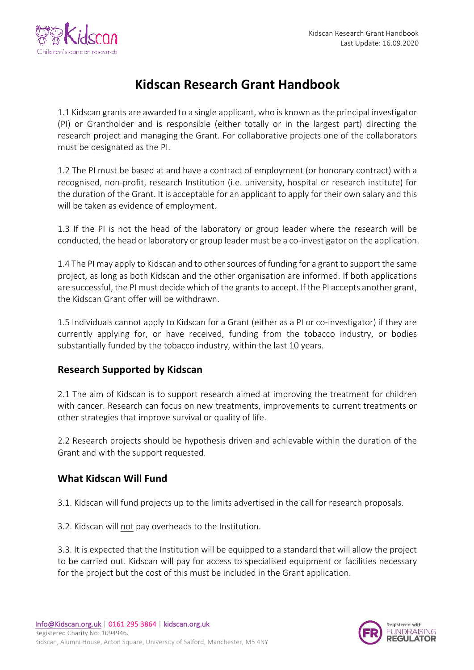

# **Kidscan Research Grant Handbook**

1.1 Kidscan grants are awarded to a single applicant, who is known as the principal investigator (PI) or Grantholder and is responsible (either totally or in the largest part) directing the research project and managing the Grant. For collaborative projects one of the collaborators must be designated as the PI.

1.2 The PI must be based at and have a contract of employment (or honorary contract) with a recognised, non-profit, research Institution (i.e. university, hospital or research institute) for the duration of the Grant. It is acceptable for an applicant to apply for their own salary and this will be taken as evidence of employment.

1.3 If the PI is not the head of the laboratory or group leader where the research will be conducted, the head or laboratory or group leader must be a co-investigator on the application.

1.4 The PI may apply to Kidscan and to other sources of funding for a grant to support the same project, as long as both Kidscan and the other organisation are informed. If both applications are successful, the PI must decide which of the grants to accept. If the PI accepts another grant, the Kidscan Grant offer will be withdrawn.

1.5 Individuals cannot apply to Kidscan for a Grant (either as a PI or co-investigator) if they are currently applying for, or have received, funding from the tobacco industry, or bodies substantially funded by the tobacco industry, within the last 10 years.

#### **Research Supported by Kidscan**

2.1 The aim of Kidscan is to support research aimed at improving the treatment for children with cancer. Research can focus on new treatments, improvements to current treatments or other strategies that improve survival or quality of life.

2.2 Research projects should be hypothesis driven and achievable within the duration of the Grant and with the support requested.

## **What Kidscan Will Fund**

3.1. Kidscan will fund projects up to the limits advertised in the call for research proposals.

3.2. Kidscan will not pay overheads to the Institution.

3.3. It is expected that the Institution will be equipped to a standard that will allow the project to be carried out. Kidscan will pay for access to specialised equipment or facilities necessary for the project but the cost of this must be included in the Grant application.

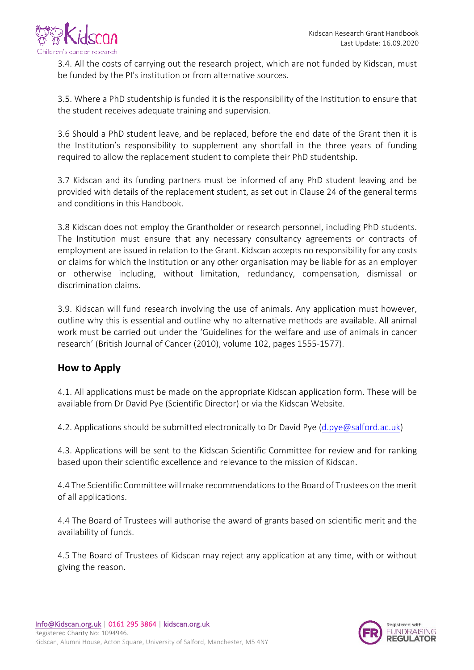

3.4. All the costs of carrying out the research project, which are not funded by Kidscan, must be funded by the PI's institution or from alternative sources.

3.5. Where a PhD studentship is funded it is the responsibility of the Institution to ensure that the student receives adequate training and supervision.

3.6 Should a PhD student leave, and be replaced, before the end date of the Grant then it is the Institution's responsibility to supplement any shortfall in the three years of funding required to allow the replacement student to complete their PhD studentship.

3.7 Kidscan and its funding partners must be informed of any PhD student leaving and be provided with details of the replacement student, as set out in Clause 24 of the general terms and conditions in this Handbook.

3.8 Kidscan does not employ the Grantholder or research personnel, including PhD students. The Institution must ensure that any necessary consultancy agreements or contracts of employment are issued in relation to the Grant. Kidscan accepts no responsibility for any costs or claims for which the Institution or any other organisation may be liable for as an employer or otherwise including, without limitation, redundancy, compensation, dismissal or discrimination claims.

3.9. Kidscan will fund research involving the use of animals. Any application must however, outline why this is essential and outline why no alternative methods are available. All animal work must be carried out under the 'Guidelines for the welfare and use of animals in cancer research' (British Journal of Cancer (2010), volume 102, pages 1555-1577).

## **How to Apply**

4.1. All applications must be made on the appropriate Kidscan application form. These will be available from Dr David Pye (Scientific Director) or via the Kidscan Website.

4.2. Applications should be submitted electronically to Dr David Pye (d.pye@salford.ac.uk)

4.3. Applications will be sent to the Kidscan Scientific Committee for review and for ranking based upon their scientific excellence and relevance to the mission of Kidscan.

4.4 The Scientific Committee will make recommendations to the Board of Trustees on the merit of all applications.

4.4 The Board of Trustees will authorise the award of grants based on scientific merit and the availability of funds.

4.5 The Board of Trustees of Kidscan may reject any application at any time, with or without giving the reason.

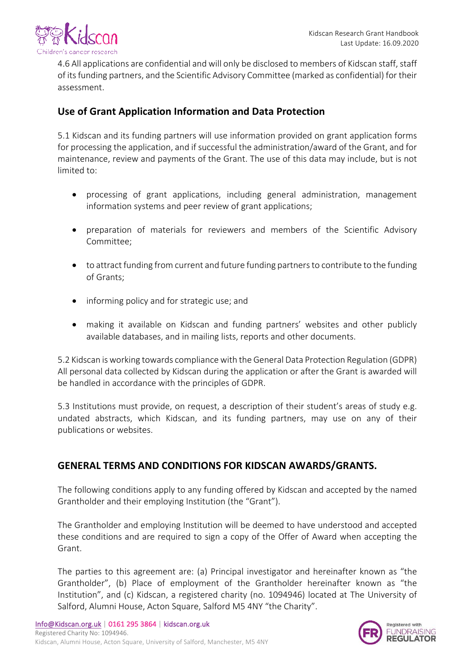

4.6 All applications are confidential and will only be disclosed to members of Kidscan staff, staff of its funding partners, and the Scientific Advisory Committee (marked as confidential) for their assessment. 

#### **Use of Grant Application Information and Data Protection**

5.1 Kidscan and its funding partners will use information provided on grant application forms for processing the application, and if successful the administration/award of the Grant, and for maintenance, review and payments of the Grant. The use of this data may include, but is not limited to:

- processing of grant applications, including general administration, management information systems and peer review of grant applications;
- preparation of materials for reviewers and members of the Scientific Advisory Committee;
- to attract funding from current and future funding partners to contribute to the funding of Grants:
- informing policy and for strategic use; and
- making it available on Kidscan and funding partners' websites and other publicly available databases, and in mailing lists, reports and other documents.

5.2 Kidscan is working towards compliance with the General Data Protection Regulation (GDPR) All personal data collected by Kidscan during the application or after the Grant is awarded will be handled in accordance with the principles of GDPR.

5.3 Institutions must provide, on request, a description of their student's areas of study e.g. undated abstracts, which Kidscan, and its funding partners, may use on any of their publications or websites.

## **GENERAL TERMS AND CONDITIONS FOR KIDSCAN AWARDS/GRANTS.**

The following conditions apply to any funding offered by Kidscan and accepted by the named Grantholder and their employing Institution (the "Grant").

The Grantholder and employing Institution will be deemed to have understood and accepted these conditions and are required to sign a copy of the Offer of Award when accepting the Grant. 

The parties to this agreement are: (a) Principal investigator and hereinafter known as "the Grantholder", (b) Place of employment of the Grantholder hereinafter known as "the Institution", and (c) Kidscan, a registered charity (no. 1094946) located at The University of Salford, Alumni House, Acton Square, Salford M5 4NY "the Charity".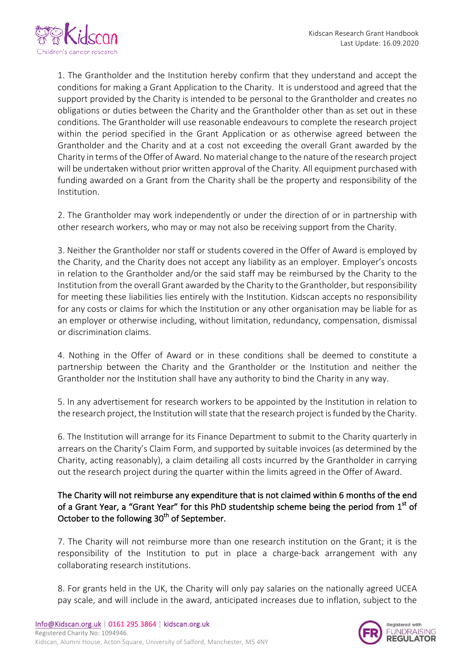

1. The Grantholder and the Institution hereby confirm that they understand and accept the conditions for making a Grant Application to the Charity. It is understood and agreed that the support provided by the Charity is intended to be personal to the Grantholder and creates no obligations or duties between the Charity and the Grantholder other than as set out in these conditions. The Grantholder will use reasonable endeavours to complete the research project within the period specified in the Grant Application or as otherwise agreed between the Grantholder and the Charity and at a cost not exceeding the overall Grant awarded by the Charity in terms of the Offer of Award. No material change to the nature of the research project will be undertaken without prior written approval of the Charity. All equipment purchased with funding awarded on a Grant from the Charity shall be the property and responsibility of the Institution.

2. The Grantholder may work independently or under the direction of or in partnership with other research workers, who may or may not also be receiving support from the Charity.

3. Neither the Grantholder nor staff or students covered in the Offer of Award is employed by the Charity, and the Charity does not accept any liability as an employer. Employer's oncosts in relation to the Grantholder and/or the said staff may be reimbursed by the Charity to the Institution from the overall Grant awarded by the Charity to the Grantholder, but responsibility for meeting these liabilities lies entirely with the Institution. Kidscan accepts no responsibility for any costs or claims for which the Institution or any other organisation may be liable for as an employer or otherwise including, without limitation, redundancy, compensation, dismissal or discrimination claims.

4. Nothing in the Offer of Award or in these conditions shall be deemed to constitute a partnership between the Charity and the Grantholder or the Institution and neither the Grantholder nor the Institution shall have any authority to bind the Charity in any way.

5. In any advertisement for research workers to be appointed by the Institution in relation to the research project, the Institution will state that the research project is funded by the Charity.

6. The Institution will arrange for its Finance Department to submit to the Charity quarterly in arrears on the Charity's Claim Form, and supported by suitable invoices (as determined by the Charity, acting reasonably), a claim detailing all costs incurred by the Grantholder in carrying out the research project during the quarter within the limits agreed in the Offer of Award.

The Charity will not reimburse any expenditure that is not claimed within 6 months of the end of a Grant Year, a "Grant Year" for this PhD studentship scheme being the period from  $1^{\text{st}}$  of October to the following 30<sup>th</sup> of September.

7. The Charity will not reimburse more than one research institution on the Grant; it is the responsibility of the Institution to put in place a charge-back arrangement with any collaborating research institutions.

8. For grants held in the UK, the Charity will only pay salaries on the nationally agreed UCEA pay scale, and will include in the award, anticipated increases due to inflation, subject to the

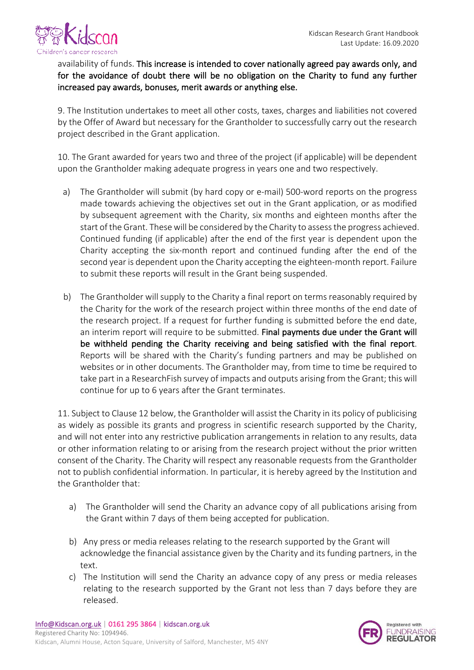

availability of funds. This increase is intended to cover nationally agreed pay awards only, and for the avoidance of doubt there will be no obligation on the Charity to fund any further increased pay awards, bonuses, merit awards or anything else.

9. The Institution undertakes to meet all other costs, taxes, charges and liabilities not covered by the Offer of Award but necessary for the Grantholder to successfully carry out the research project described in the Grant application.

10. The Grant awarded for years two and three of the project (if applicable) will be dependent upon the Grantholder making adequate progress in years one and two respectively.

- a) The Grantholder will submit (by hard copy or e-mail) 500-word reports on the progress made towards achieving the objectives set out in the Grant application, or as modified by subsequent agreement with the Charity, six months and eighteen months after the start of the Grant. These will be considered by the Charity to assess the progress achieved. Continued funding (if applicable) after the end of the first year is dependent upon the Charity accepting the six-month report and continued funding after the end of the second year is dependent upon the Charity accepting the eighteen-month report. Failure to submit these reports will result in the Grant being suspended.
- b) The Grantholder will supply to the Charity a final report on terms reasonably required by the Charity for the work of the research project within three months of the end date of the research project. If a request for further funding is submitted before the end date, an interim report will require to be submitted. Final payments due under the Grant will be withheld pending the Charity receiving and being satisfied with the final report. Reports will be shared with the Charity's funding partners and may be published on websites or in other documents. The Grantholder may, from time to time be required to take part in a ResearchFish survey of impacts and outputs arising from the Grant; this will continue for up to 6 years after the Grant terminates.

11. Subject to Clause 12 below, the Grantholder will assist the Charity in its policy of publicising as widely as possible its grants and progress in scientific research supported by the Charity, and will not enter into any restrictive publication arrangements in relation to any results, data or other information relating to or arising from the research project without the prior written consent of the Charity. The Charity will respect any reasonable requests from the Grantholder not to publish confidential information. In particular, it is hereby agreed by the Institution and the Grantholder that:

- a) The Grantholder will send the Charity an advance copy of all publications arising from the Grant within 7 days of them being accepted for publication.
- b) Any press or media releases relating to the research supported by the Grant will acknowledge the financial assistance given by the Charity and its funding partners, in the text.
- c) The Institution will send the Charity an advance copy of any press or media releases relating to the research supported by the Grant not less than 7 days before they are released.

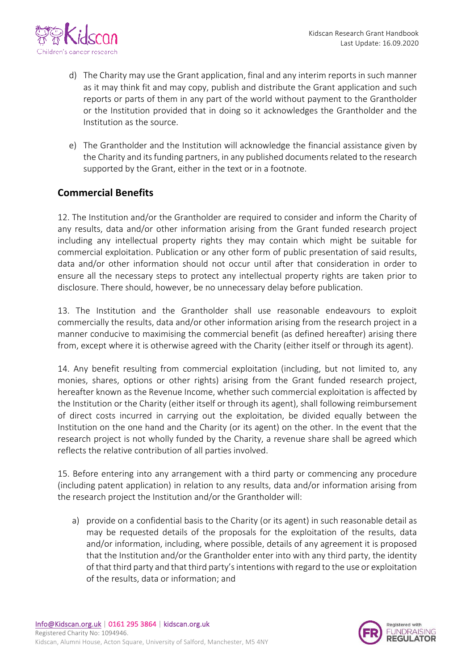

- d) The Charity may use the Grant application, final and any interim reports in such manner as it may think fit and may copy, publish and distribute the Grant application and such reports or parts of them in any part of the world without payment to the Grantholder or the Institution provided that in doing so it acknowledges the Grantholder and the Institution as the source.
- e) The Grantholder and the Institution will acknowledge the financial assistance given by the Charity and its funding partners, in any published documents related to the research supported by the Grant, either in the text or in a footnote.

## **Commercial Benefits**

12. The Institution and/or the Grantholder are required to consider and inform the Charity of any results, data and/or other information arising from the Grant funded research project including any intellectual property rights they may contain which might be suitable for commercial exploitation. Publication or any other form of public presentation of said results, data and/or other information should not occur until after that consideration in order to ensure all the necessary steps to protect any intellectual property rights are taken prior to disclosure. There should, however, be no unnecessary delay before publication.

13. The Institution and the Grantholder shall use reasonable endeavours to exploit commercially the results, data and/or other information arising from the research project in a manner conducive to maximising the commercial benefit (as defined hereafter) arising there from, except where it is otherwise agreed with the Charity (either itself or through its agent).

14. Any benefit resulting from commercial exploitation (including, but not limited to, any monies, shares, options or other rights) arising from the Grant funded research project, hereafter known as the Revenue Income, whether such commercial exploitation is affected by the Institution or the Charity (either itself or through its agent), shall following reimbursement of direct costs incurred in carrying out the exploitation, be divided equally between the Institution on the one hand and the Charity (or its agent) on the other. In the event that the research project is not wholly funded by the Charity, a revenue share shall be agreed which reflects the relative contribution of all parties involved.

15. Before entering into any arrangement with a third party or commencing any procedure (including patent application) in relation to any results, data and/or information arising from the research project the Institution and/or the Grantholder will:

a) provide on a confidential basis to the Charity (or its agent) in such reasonable detail as may be requested details of the proposals for the exploitation of the results, data and/or information, including, where possible, details of any agreement it is proposed that the Institution and/or the Grantholder enter into with any third party, the identity of that third party and that third party's intentions with regard to the use or exploitation of the results, data or information; and

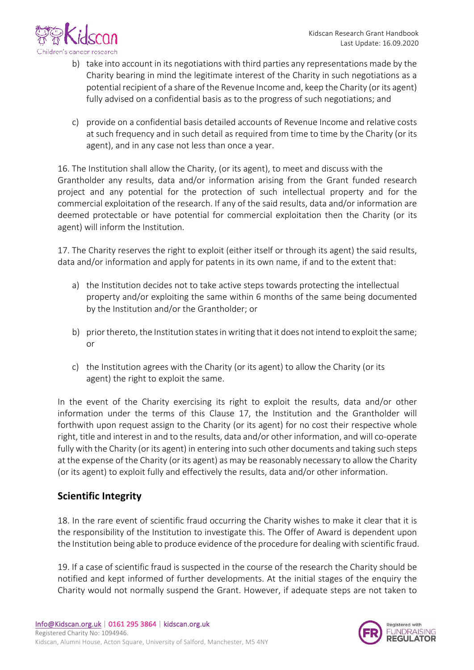

- b) take into account in its negotiations with third parties any representations made by the Charity bearing in mind the legitimate interest of the Charity in such negotiations as a potential recipient of a share of the Revenue Income and, keep the Charity (or its agent) fully advised on a confidential basis as to the progress of such negotiations; and
- c) provide on a confidential basis detailed accounts of Revenue Income and relative costs at such frequency and in such detail as required from time to time by the Charity (or its agent), and in any case not less than once a year.

16. The Institution shall allow the Charity, (or its agent), to meet and discuss with the Grantholder any results, data and/or information arising from the Grant funded research project and any potential for the protection of such intellectual property and for the commercial exploitation of the research. If any of the said results, data and/or information are deemed protectable or have potential for commercial exploitation then the Charity (or its agent) will inform the Institution.

17. The Charity reserves the right to exploit (either itself or through its agent) the said results, data and/or information and apply for patents in its own name, if and to the extent that:

- a) the Institution decides not to take active steps towards protecting the intellectual property and/or exploiting the same within 6 months of the same being documented by the Institution and/or the Grantholder; or
- b) prior thereto, the Institution states in writing that it does not intend to exploit the same; or
- c) the Institution agrees with the Charity (or its agent) to allow the Charity (or its agent) the right to exploit the same.

In the event of the Charity exercising its right to exploit the results, data and/or other information under the terms of this Clause 17, the Institution and the Grantholder will forthwith upon request assign to the Charity (or its agent) for no cost their respective whole right, title and interest in and to the results, data and/or other information, and will co-operate fully with the Charity (or its agent) in entering into such other documents and taking such steps at the expense of the Charity (or its agent) as may be reasonably necessary to allow the Charity (or its agent) to exploit fully and effectively the results, data and/or other information.

## **Scientific Integrity**

18. In the rare event of scientific fraud occurring the Charity wishes to make it clear that it is the responsibility of the Institution to investigate this. The Offer of Award is dependent upon the Institution being able to produce evidence of the procedure for dealing with scientific fraud.

19. If a case of scientific fraud is suspected in the course of the research the Charity should be notified and kept informed of further developments. At the initial stages of the enquiry the Charity would not normally suspend the Grant. However, if adequate steps are not taken to

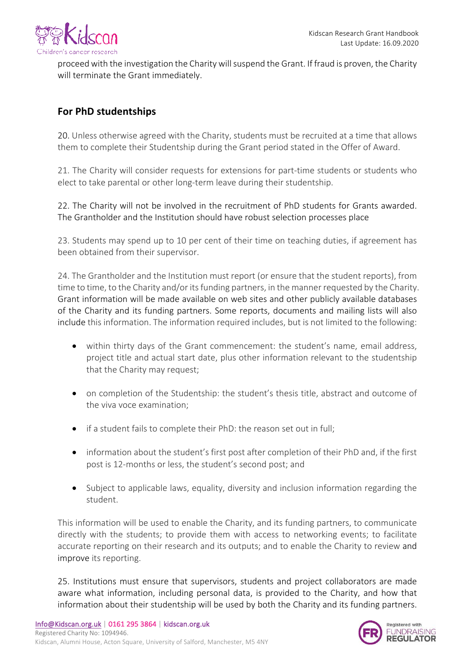

proceed with the investigation the Charity will suspend the Grant. If fraud is proven, the Charity will terminate the Grant immediately.

## **For PhD studentships**

20. Unless otherwise agreed with the Charity, students must be recruited at a time that allows them to complete their Studentship during the Grant period stated in the Offer of Award.

21. The Charity will consider requests for extensions for part-time students or students who elect to take parental or other long-term leave during their studentship.

22. The Charity will not be involved in the recruitment of PhD students for Grants awarded. The Grantholder and the Institution should have robust selection processes place

23. Students may spend up to 10 per cent of their time on teaching duties, if agreement has been obtained from their supervisor.

24. The Grantholder and the Institution must report (or ensure that the student reports), from time to time, to the Charity and/or its funding partners, in the manner requested by the Charity. Grant information will be made available on web sites and other publicly available databases of the Charity and its funding partners. Some reports, documents and mailing lists will also include this information. The information required includes, but is not limited to the following:

- within thirty days of the Grant commencement: the student's name, email address, project title and actual start date, plus other information relevant to the studentship that the Charity may request;
- on completion of the Studentship: the student's thesis title, abstract and outcome of the viva voce examination;
- if a student fails to complete their PhD: the reason set out in full;
- information about the student's first post after completion of their PhD and, if the first post is 12-months or less, the student's second post; and
- Subject to applicable laws, equality, diversity and inclusion information regarding the student.

This information will be used to enable the Charity, and its funding partners, to communicate directly with the students; to provide them with access to networking events; to facilitate accurate reporting on their research and its outputs; and to enable the Charity to review and improve its reporting.

25. Institutions must ensure that supervisors, students and project collaborators are made aware what information, including personal data, is provided to the Charity, and how that information about their studentship will be used by both the Charity and its funding partners.

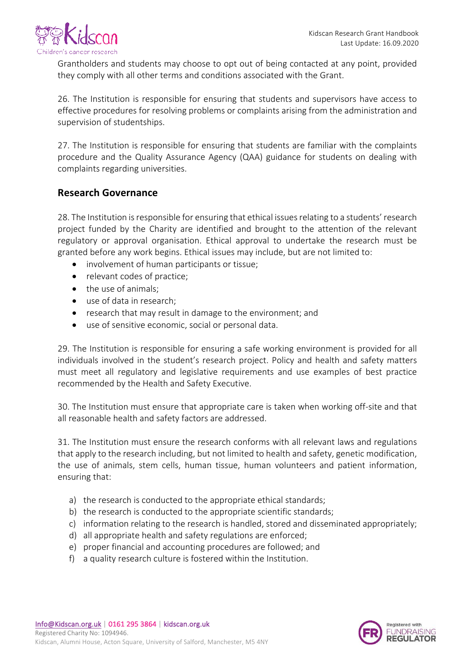

Grantholders and students may choose to opt out of being contacted at any point, provided they comply with all other terms and conditions associated with the Grant.

26. The Institution is responsible for ensuring that students and supervisors have access to effective procedures for resolving problems or complaints arising from the administration and supervision of studentships.

27. The Institution is responsible for ensuring that students are familiar with the complaints procedure and the Quality Assurance Agency (QAA) guidance for students on dealing with complaints regarding universities.

#### **Research Governance**

28. The Institution is responsible for ensuring that ethical issues relating to a students' research project funded by the Charity are identified and brought to the attention of the relevant regulatory or approval organisation. Ethical approval to undertake the research must be granted before any work begins. Ethical issues may include, but are not limited to:

- involvement of human participants or tissue;
- relevant codes of practice:
- $\bullet$  the use of animals:
- use of data in research:
- research that may result in damage to the environment; and
- use of sensitive economic, social or personal data.

29. The Institution is responsible for ensuring a safe working environment is provided for all individuals involved in the student's research project. Policy and health and safety matters must meet all regulatory and legislative requirements and use examples of best practice recommended by the Health and Safety Executive.

30. The Institution must ensure that appropriate care is taken when working off-site and that all reasonable health and safety factors are addressed.

31. The Institution must ensure the research conforms with all relevant laws and regulations that apply to the research including, but not limited to health and safety, genetic modification, the use of animals, stem cells, human tissue, human volunteers and patient information, ensuring that:

- a) the research is conducted to the appropriate ethical standards;
- b) the research is conducted to the appropriate scientific standards;
- c) information relating to the research is handled, stored and disseminated appropriately;
- d) all appropriate health and safety regulations are enforced;
- e) proper financial and accounting procedures are followed; and
- f) a quality research culture is fostered within the Institution.